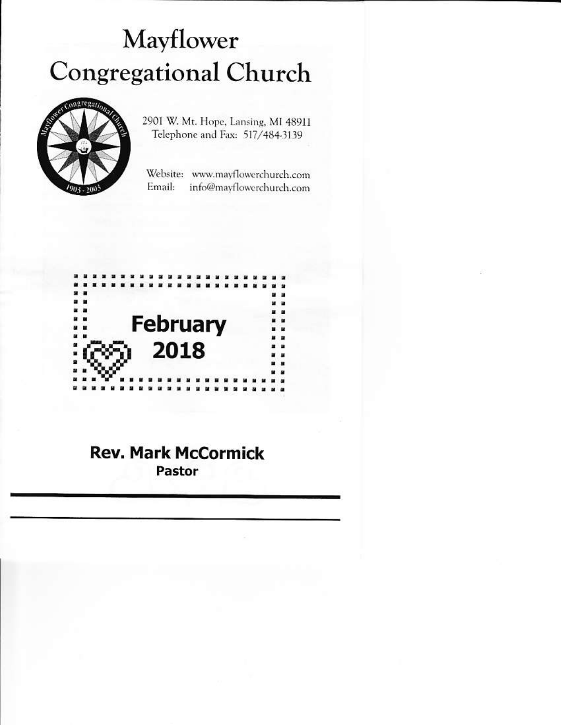# Mayflower **Congregational Church**



2901 W. Mt. Hope, Lansing, MI 48911 Telephone and Fax: 517/484-3139

Website: www.mayflowerchurch.com Email: info@mayflowerchurch.com



## **Rev. Mark McCormick Pastor**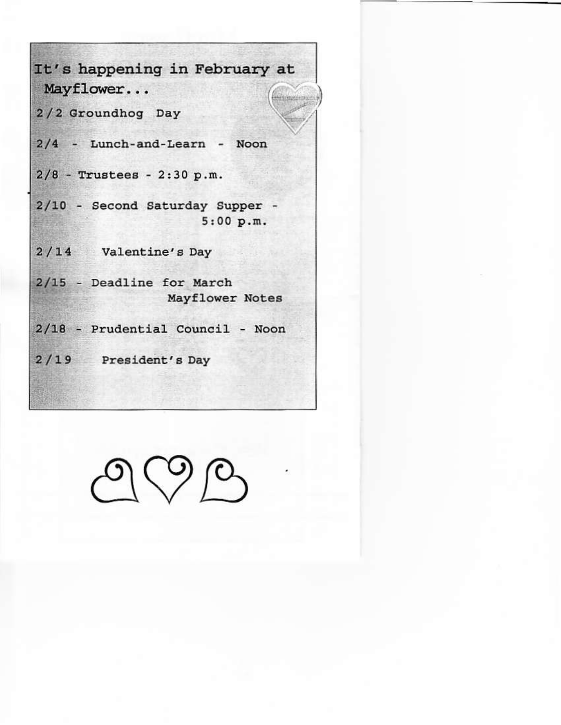It's happening in February at Mayflower... rtingazum 2/2 Groundhog Day 2/4 - Lunch-and-Learn - Noon  $2/8$  - Trustees - 2:30 p.m. 2/10 - Second Saturday Supper - $5:00 p.m.$ 2/14 Valentine's Day 2/15 - Deadline for March Mayflower Notes 2/18 - Prudential Council - Noon 2/19 President's Day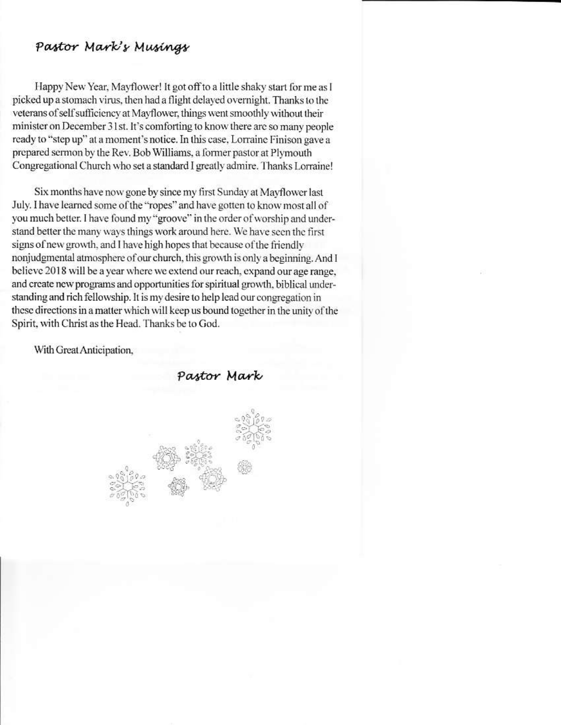## Pastor Mark's Musings

Happy New Year, Mayflower! It got off to a little shaky start for me as I picked up a stomach virus, then had a flight delayed overnight. Thanks to the veterans of self sufficiency at Mayflower, things went smoothly without their minister on December 31st. It's comforting to know there are so many people ready to "step up" at a moment's notice. In this case, Lorraine Finison gave a prepared sermon by the Rev. Bob Williams, a former pastor at Plymouth Congregational Church who set a standard I greatly admire. Thanks Lorraine!

Six months have now gone by since my first Sunday at Mayflower last July. I have learned some of the "ropes" and have gotten to know most all of you much better. I have found my "groove" in the order of worship and understand better the many ways things work around here. We have seen the first signs of new growth, and I have high hopes that because of the friendly nonjudgmental atmosphere of our church, this growth is only a beginning. And I believe 2018 will be a year where we extend our reach, expand our age range, and create new programs and opportunities for spiritual growth, biblical understanding and rich fellowship. It is my desire to help lead our congregation in these directions in a matter which will keep us bound together in the unity of the Spirit, with Christ as the Head. Thanks be to God.

With Great Anticipation,

Pastor Mark

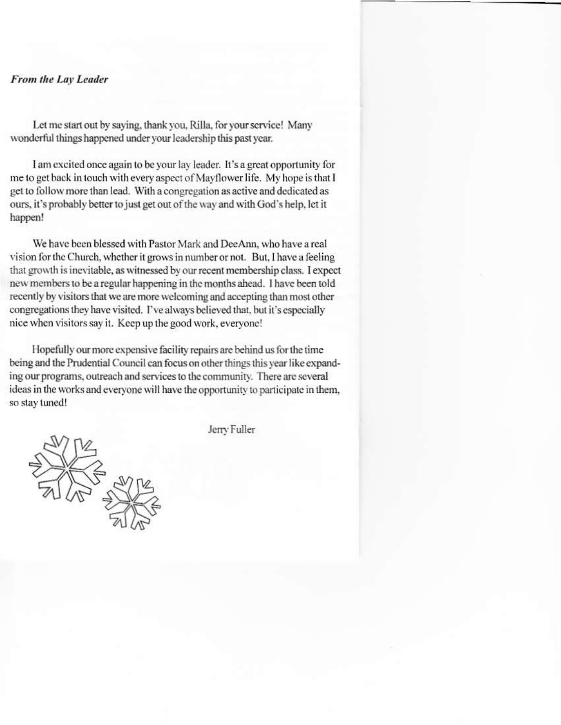#### From the Lay Leader

Let me start out by saying, thank you, Rilla, for your service! Many wonderful things happened under your leadership this past year.

I am excited once again to be your lay leader. It's a great opportunity for me to get back in touch with every aspect of Mayflower life. My hope is that I get to follow more than lead. With a congregation as active and dedicated as ours, it's probably better to just get out of the way and with God's help, let it happen!

We have been blessed with Pastor Mark and DeeAnn, who have a real vision for the Church, whether it grows in number or not. But, I have a feeling that growth is inevitable, as witnessed by our recent membership class. I expect new members to be a regular happening in the months ahead. I have been told recently by visitors that we are more welcoming and accepting than most other congregations they have visited. I've always believed that, but it's especially nice when visitors say it. Keep up the good work, everyone!

Hopefully our more expensive facility repairs are behind us for the time being and the Prudential Council can focus on other things this year like expanding our programs, outreach and services to the community. There are several ideas in the works and everyone will have the opportunity to participate in them, so stay tuned!

Jerry Fuller

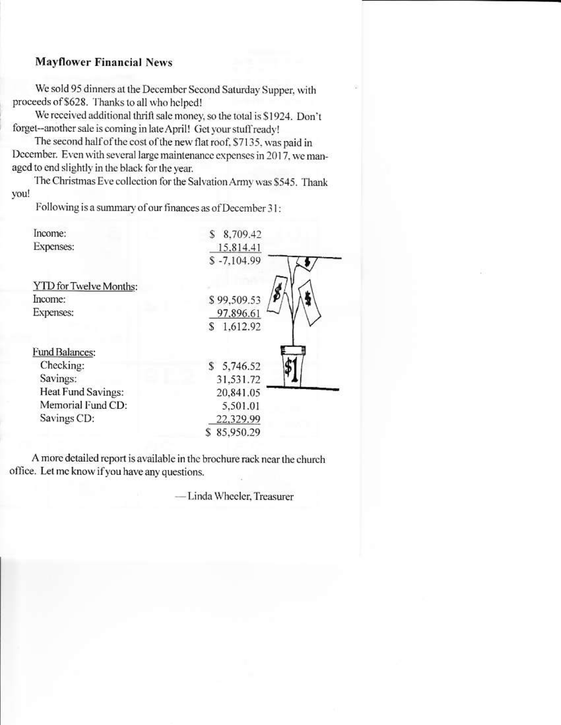## **Mayflower Financial News**

We sold 95 dinners at the December Second Saturday Supper, with proceeds of \$628. Thanks to all who helped!

We received additional thrift sale money, so the total is \$1924. Don't forget--another sale is coming in late April! Get your stuff ready!

The second half of the cost of the new flat roof, \$7135, was paid in December. Even with several large maintenance expenses in 2017, we managed to end slightly in the black for the year.

The Christmas Eve collection for the Salvation Army was \$545. Thank you!

Following is a summary of our finances as of December 31:

| Income:                | 8,709.42<br>S |
|------------------------|---------------|
| Expenses:              | 15,814.41     |
|                        | $$ -7,104.99$ |
| YTD for Twelve Months: |               |
| Income:                | \$99,509.53   |
| Expenses:              | 97,896.61     |
|                        | \$1.612.92    |
| <b>Fund Balances:</b>  |               |
| Checking:              | \$5,746.52    |
| Savings:               | 31,531.72     |
| Heat Fund Savings:     | 20,841.05     |
| Memorial Fund CD:      | 5,501.01      |
| Savings CD:            | 22,329.99     |
|                        | 85,950.29     |
|                        |               |

A more detailed report is available in the brochure rack near the church office. Let me know if you have any questions.

- Linda Wheeler, Treasurer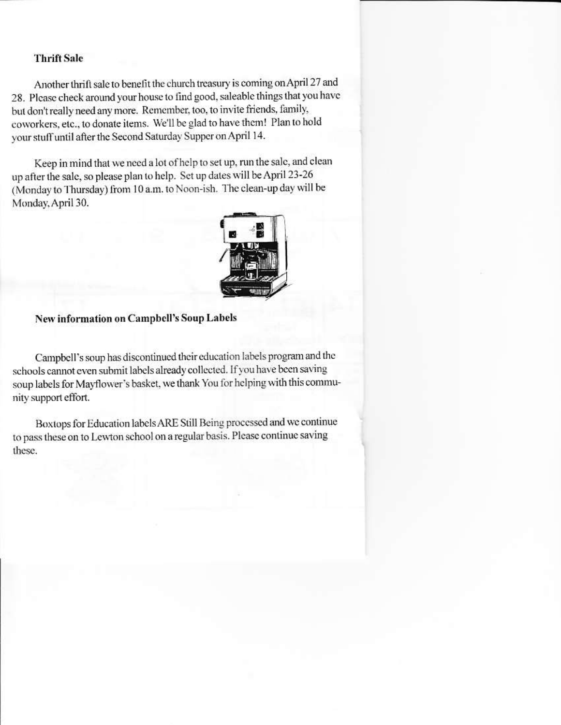#### **Thrift Sale**

Another thrift sale to benefit the church treasury is coming on April 27 and 28. Please check around your house to find good, saleable things that you have but don't really need any more. Remember, too, to invite friends, family, coworkers, etc., to donate items. We'll be glad to have them! Plan to hold your stuff until after the Second Saturday Supper on April 14.

Keep in mind that we need a lot of help to set up, run the sale, and clean up after the sale, so please plan to help. Set up dates will be April 23-26 (Monday to Thursday) from 10 a.m. to Noon-ish. The clean-up day will be Monday, April 30.



#### New information on Campbell's Soup Labels

Campbell's soup has discontinued their education labels program and the schools cannot even submit labels already collected. If you have been saving soup labels for Mayflower's basket, we thank You for helping with this community support effort.

Boxtops for Education labels ARE Still Being processed and we continue to pass these on to Lewton school on a regular basis. Please continue saving these.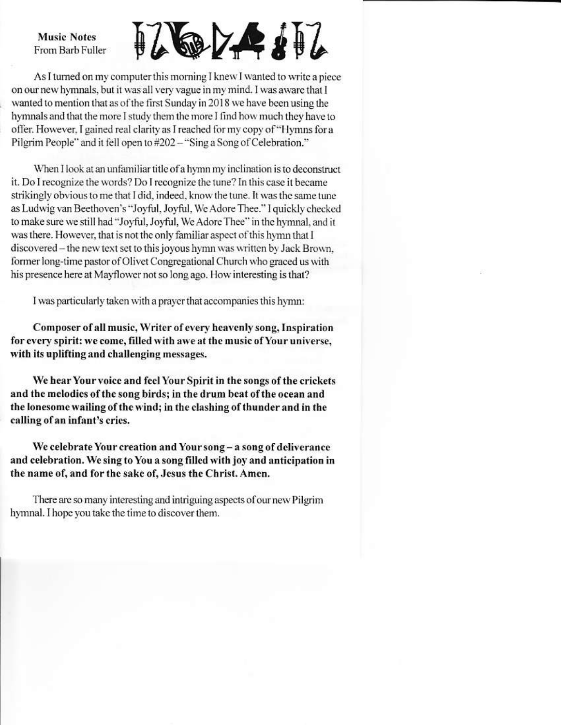**Music Notes** From Barb Fuller

 $\frac{1}{2}$ 

As I turned on my computer this morning I knew I wanted to write a piece on our new hymnals, but it was all very vague in my mind. I was aware that I wanted to mention that as of the first Sunday in 2018 we have been using the hymnals and that the more I study them the more I find how much they have to offer. However, I gained real clarity as I reached for my copy of "Hymns for a Pilgrim People" and it fell open to #202 - "Sing a Song of Celebration."

When I look at an unfamiliar title of a hymn my inclination is to deconstruct it. Do I recognize the words? Do I recognize the tune? In this case it became strikingly obvious to me that I did, indeed, know the tune. It was the same tune as Ludwig van Beethoven's "Joyful, Joyful, We Adore Thee." I quickly checked to make sure we still had "Joyful, Joyful, We Adore Thee" in the hymnal, and it was there. However, that is not the only familiar aspect of this hymn that I discovered - the new text set to this joyous hymn was written by Jack Brown, former long-time pastor of Olivet Congregational Church who graced us with his presence here at Mayflower not so long ago. How interesting is that?

I was particularly taken with a prayer that accompanies this hymn:

Composer of all music, Writer of every heavenly song, Inspiration for every spirit: we come, filled with awe at the music of Your universe, with its uplifting and challenging messages.

We hear Your voice and feel Your Spirit in the songs of the crickets and the melodies of the song birds; in the drum beat of the ocean and the lonesome wailing of the wind; in the clashing of thunder and in the calling of an infant's cries.

We celebrate Your creation and Your song - a song of deliverance and celebration. We sing to You a song filled with joy and anticipation in the name of, and for the sake of, Jesus the Christ. Amen.

There are so many interesting and intriguing aspects of our new Pilgrim hymnal. I hope you take the time to discover them.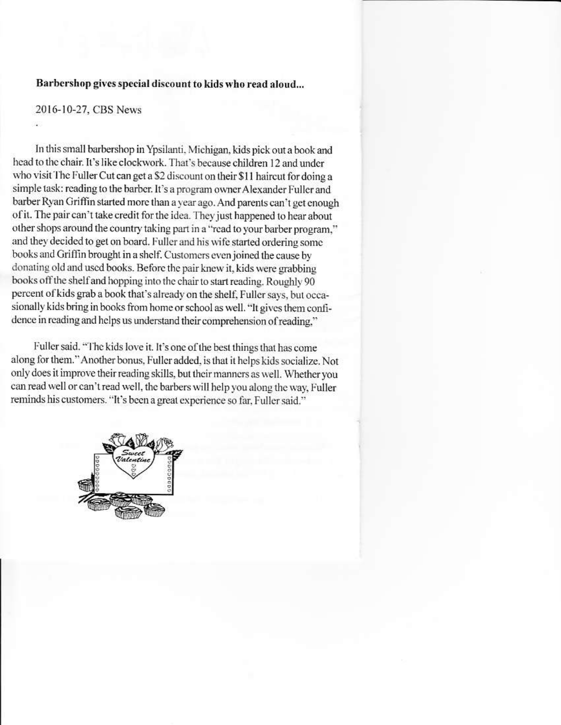### Barbershop gives special discount to kids who read aloud...

## 2016-10-27, CBS News

In this small barbershop in Ypsilanti, Michigan, kids pick out a book and head to the chair. It's like clockwork. That's because children 12 and under who visit The Fuller Cut can get a \$2 discount on their \$11 haircut for doing a simple task: reading to the barber. It's a program owner Alexander Fuller and barber Ryan Griffin started more than a year ago. And parents can't get enough of it. The pair can't take credit for the idea. They just happened to hear about other shops around the country taking part in a "read to your barber program," and they decided to get on board. Fuller and his wife started ordering some books and Griffin brought in a shelf. Customers even joined the cause by donating old and used books. Before the pair knew it, kids were grabbing books off the shelf and hopping into the chair to start reading. Roughly 90 percent of kids grab a book that's already on the shelf, Fuller says, but occasionally kids bring in books from home or school as well. "It gives them confidence in reading and helps us understand their comprehension of reading,"

Fuller said. "The kids love it. It's one of the best things that has come along for them." Another bonus, Fuller added, is that it helps kids socialize. Not only does it improve their reading skills, but their manners as well. Whether you can read well or can't read well, the barbers will help you along the way, Fuller reminds his customers. "It's been a great experience so far, Fuller said."

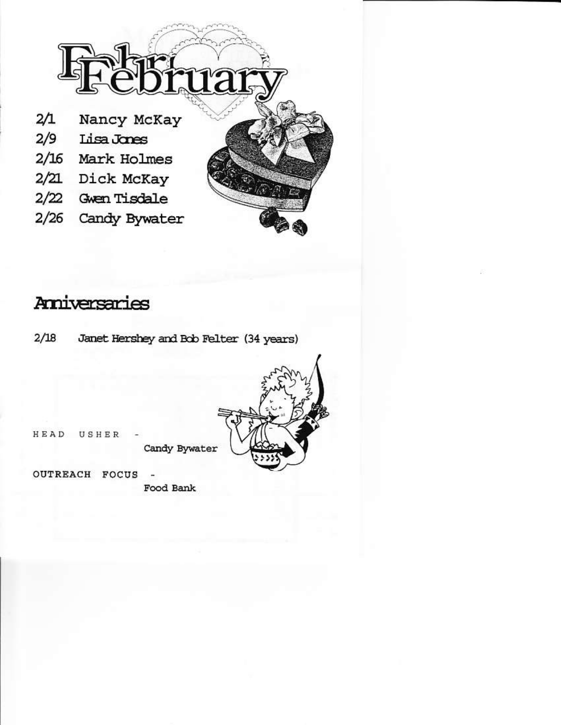

# Amiversaries

 $2/18$ Janet Hershey and Bob Felter (34 years)



HEAD USHER

Candy Bywater

**OUTREACH FOCUS** Food Bank